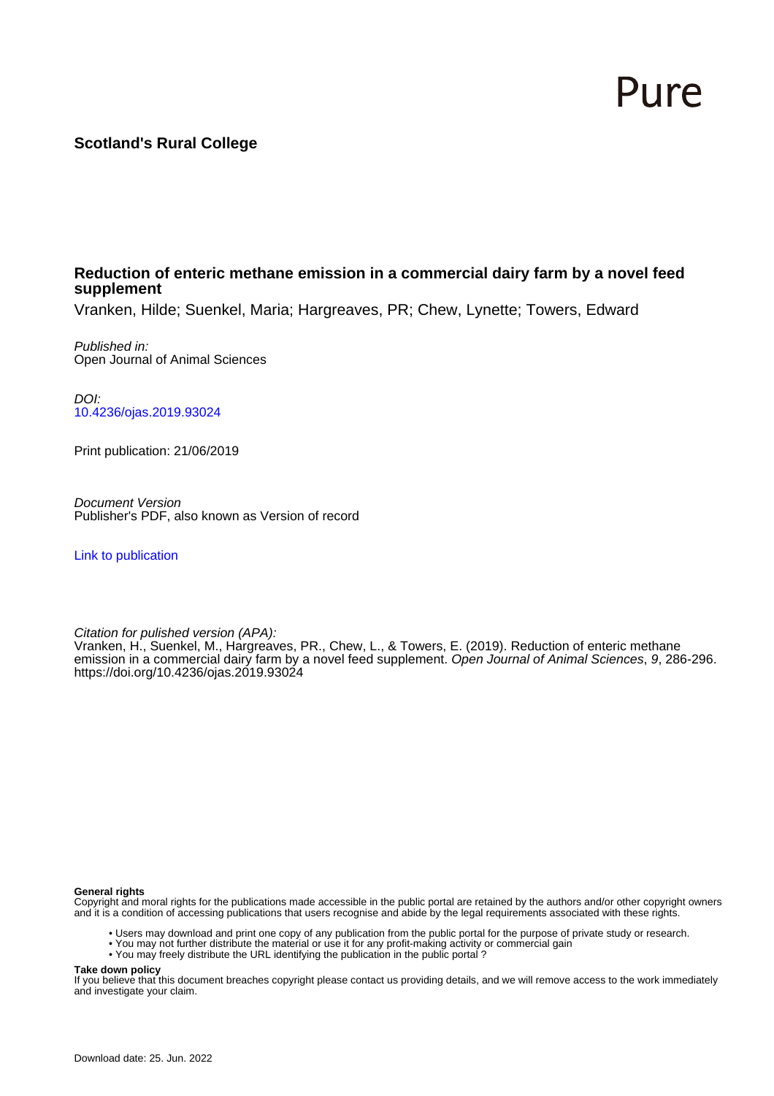# Pure

## **Scotland's Rural College**

#### **Reduction of enteric methane emission in a commercial dairy farm by a novel feed supplement**

Vranken, Hilde; Suenkel, Maria; Hargreaves, PR; Chew, Lynette; Towers, Edward

Published in: Open Journal of Animal Sciences

DOI: [10.4236/ojas.2019.93024](https://doi.org/10.4236/ojas.2019.93024)

Print publication: 21/06/2019

Document Version Publisher's PDF, also known as Version of record

[Link to publication](https://pure.sruc.ac.uk/en/publications/ada149f9-e333-4535-9dc0-02326ff3aac1)

Citation for pulished version (APA):

Vranken, H., Suenkel, M., Hargreaves, PR., Chew, L., & Towers, E. (2019). Reduction of enteric methane emission in a commercial dairy farm by a novel feed supplement. Open Journal of Animal Sciences, 9, 286-296. <https://doi.org/10.4236/ojas.2019.93024>

#### **General rights**

Copyright and moral rights for the publications made accessible in the public portal are retained by the authors and/or other copyright owners and it is a condition of accessing publications that users recognise and abide by the legal requirements associated with these rights.

- Users may download and print one copy of any publication from the public portal for the purpose of private study or research.
- You may not further distribute the material or use it for any profit-making activity or commercial gain
- You may freely distribute the URL identifying the publication in the public portal ?

#### **Take down policy**

If you believe that this document breaches copyright please contact us providing details, and we will remove access to the work immediately and investigate your claim.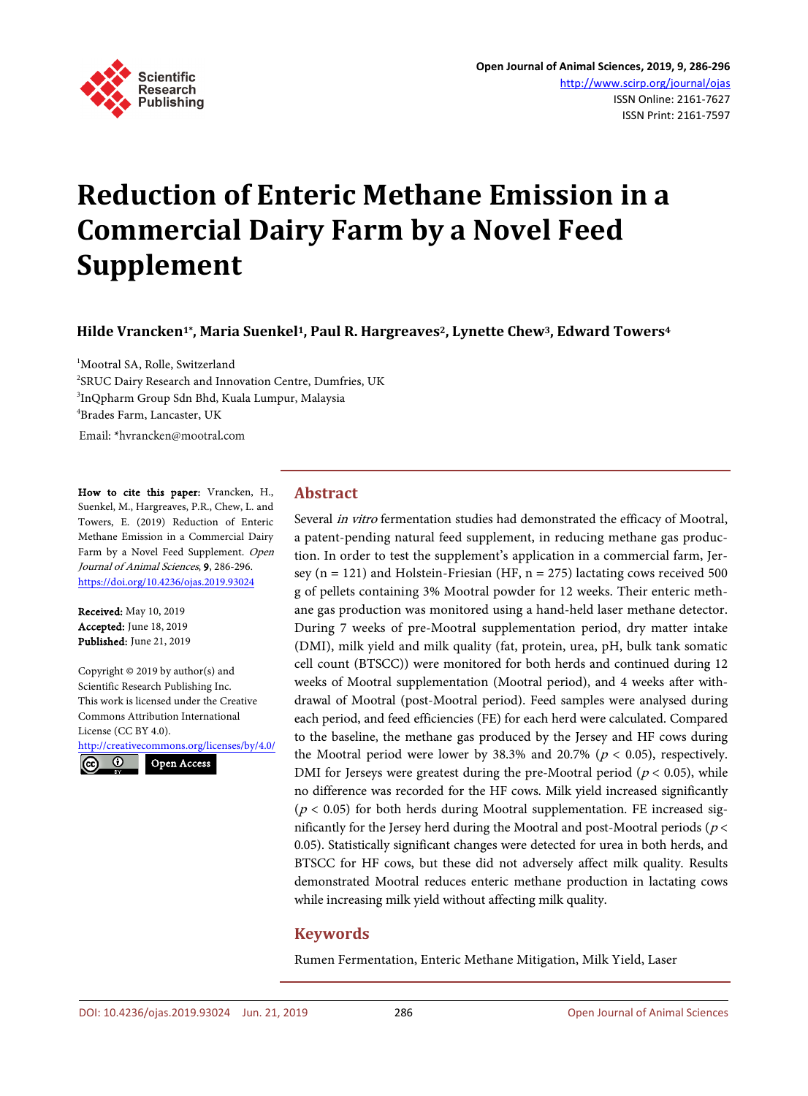

# **Reduction of Enteric Methane Emission in a Commercial Dairy Farm by a Novel Feed Supplement**

**Hilde Vrancken1\*, Maria Suenkel1, Paul R. Hargreaves2, Lynette Chew3, Edward Towers4**

<sup>1</sup>Mootral SA, Rolle, Switzerland <sup>2</sup>SRUC Dairy Research and Innovation Centre, Dumfries, UK 3 InQpharm Group Sdn Bhd, Kuala Lumpur, Malaysia 4 Brades Farm, Lancaster, UK Email: \*hvrancken@mootral.com

How to cite this paper: Vrancken, H., Suenkel, M., Hargreaves, P.R., Chew, L. and Towers, E. (2019) Reduction of Enteric Methane Emission in a Commercial Dairy Farm by a Novel Feed Supplement. Open Journal of Animal Sciences, 9, 286-296. https://doi.org/10.4236/ojas.2019.93024

Received: May 10, 2019 Accepted: June 18, 2019 Published: June 21, 2019

Copyright © 2019 by author(s) and Scientific Research Publishing Inc. This work is licensed under the Creative Commons Attribution International License (CC BY 4.0).

http://creativecommons.org/licenses/by/4.0/



#### **Abstract**

Several in vitro fermentation studies had demonstrated the efficacy of Mootral, a patent-pending natural feed supplement, in reducing methane gas production. In order to test the supplement's application in a commercial farm, Jersey ( $n = 121$ ) and Holstein-Friesian (HF,  $n = 275$ ) lactating cows received 500 g of pellets containing 3% Mootral powder for 12 weeks. Their enteric methane gas production was monitored using a hand-held laser methane detector. During 7 weeks of pre-Mootral supplementation period, dry matter intake (DMI), milk yield and milk quality (fat, protein, urea, pH, bulk tank somatic cell count (BTSCC)) were monitored for both herds and continued during 12 weeks of Mootral supplementation (Mootral period), and 4 weeks after withdrawal of Mootral (post-Mootral period). Feed samples were analysed during each period, and feed efficiencies (FE) for each herd were calculated. Compared to the baseline, the methane gas produced by the Jersey and HF cows during the Mootral period were lower by 38.3% and 20.7% ( $p < 0.05$ ), respectively. DMI for Jerseys were greatest during the pre-Mootral period ( $p < 0.05$ ), while no difference was recorded for the HF cows. Milk yield increased significantly ( $p$  < 0.05) for both herds during Mootral supplementation. FE increased significantly for the Jersey herd during the Mootral and post-Mootral periods ( $p$  < 0.05). Statistically significant changes were detected for urea in both herds, and BTSCC for HF cows, but these did not adversely affect milk quality. Results demonstrated Mootral reduces enteric methane production in lactating cows while increasing milk yield without affecting milk quality.

#### **Keywords**

Rumen Fermentation, Enteric Methane Mitigation, Milk Yield, Laser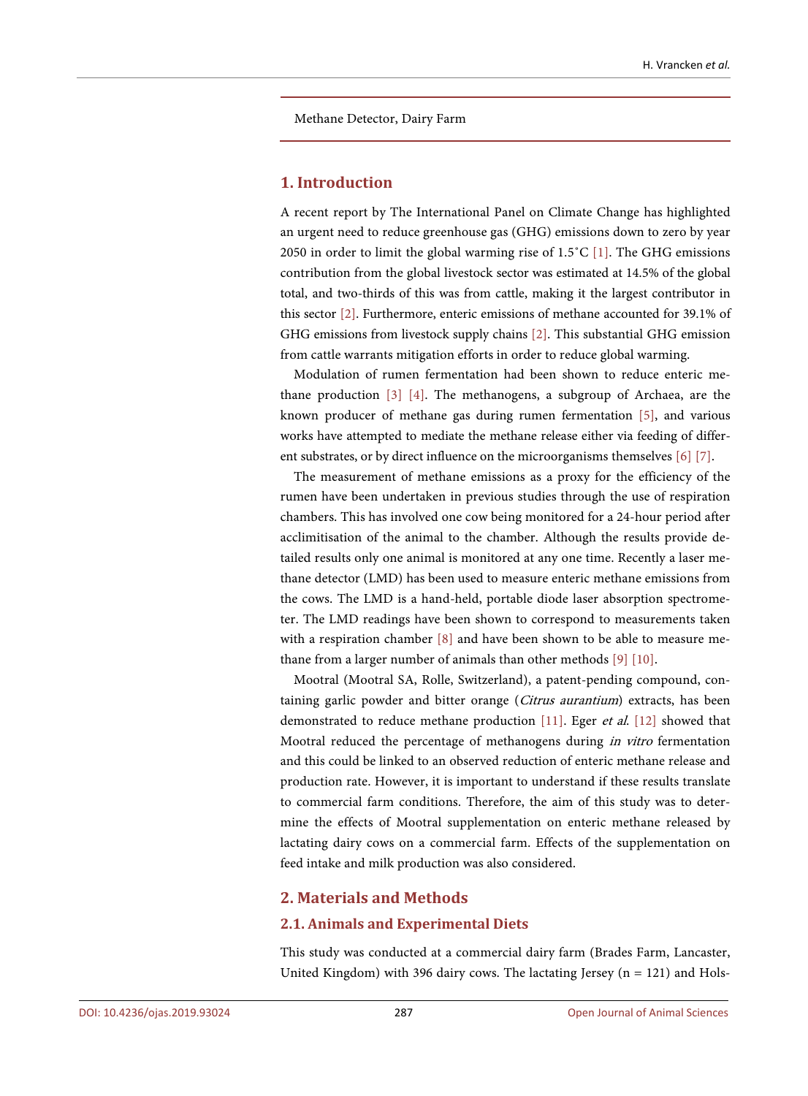Methane Detector, Dairy Farm

#### **1. Introduction**

A recent report by The International Panel on Climate Change has highlighted an urgent need to reduce greenhouse gas (GHG) emissions down to zero by year 2050 in order to limit the global warming rise of 1.5˚C [1]. The GHG emissions contribution from the global livestock sector was estimated at 14.5% of the global total, and two-thirds of this was from cattle, making it the largest contributor in this sector [2]. Furthermore, enteric emissions of methane accounted for 39.1% of GHG emissions from livestock supply chains [2]. This substantial GHG emission from cattle warrants mitigation efforts in order to reduce global warming.

Modulation of rumen fermentation had been shown to reduce enteric methane production [3] [4]. The methanogens, a subgroup of Archaea, are the known producer of methane gas during rumen fermentation [5], and various works have attempted to mediate the methane release either via feeding of different substrates, or by direct influence on the microorganisms themselves [6] [7].

The measurement of methane emissions as a proxy for the efficiency of the rumen have been undertaken in previous studies through the use of respiration chambers. This has involved one cow being monitored for a 24-hour period after acclimitisation of the animal to the chamber. Although the results provide detailed results only one animal is monitored at any one time. Recently a laser methane detector (LMD) has been used to measure enteric methane emissions from the cows. The LMD is a hand-held, portable diode laser absorption spectrometer. The LMD readings have been shown to correspond to measurements taken with a respiration chamber [8] and have been shown to be able to measure methane from a larger number of animals than other methods [9] [10].

Mootral (Mootral SA, Rolle, Switzerland), a patent-pending compound, containing garlic powder and bitter orange (Citrus aurantium) extracts, has been demonstrated to reduce methane production [11]. Eger et al. [12] showed that Mootral reduced the percentage of methanogens during in vitro fermentation and this could be linked to an observed reduction of enteric methane release and production rate. However, it is important to understand if these results translate to commercial farm conditions. Therefore, the aim of this study was to determine the effects of Mootral supplementation on enteric methane released by lactating dairy cows on a commercial farm. Effects of the supplementation on feed intake and milk production was also considered.

#### **2. Materials and Methods**

#### **2.1. Animals and Experimental Diets**

This study was conducted at a commercial dairy farm (Brades Farm, Lancaster, United Kingdom) with 396 dairy cows. The lactating Jersey ( $n = 121$ ) and Hols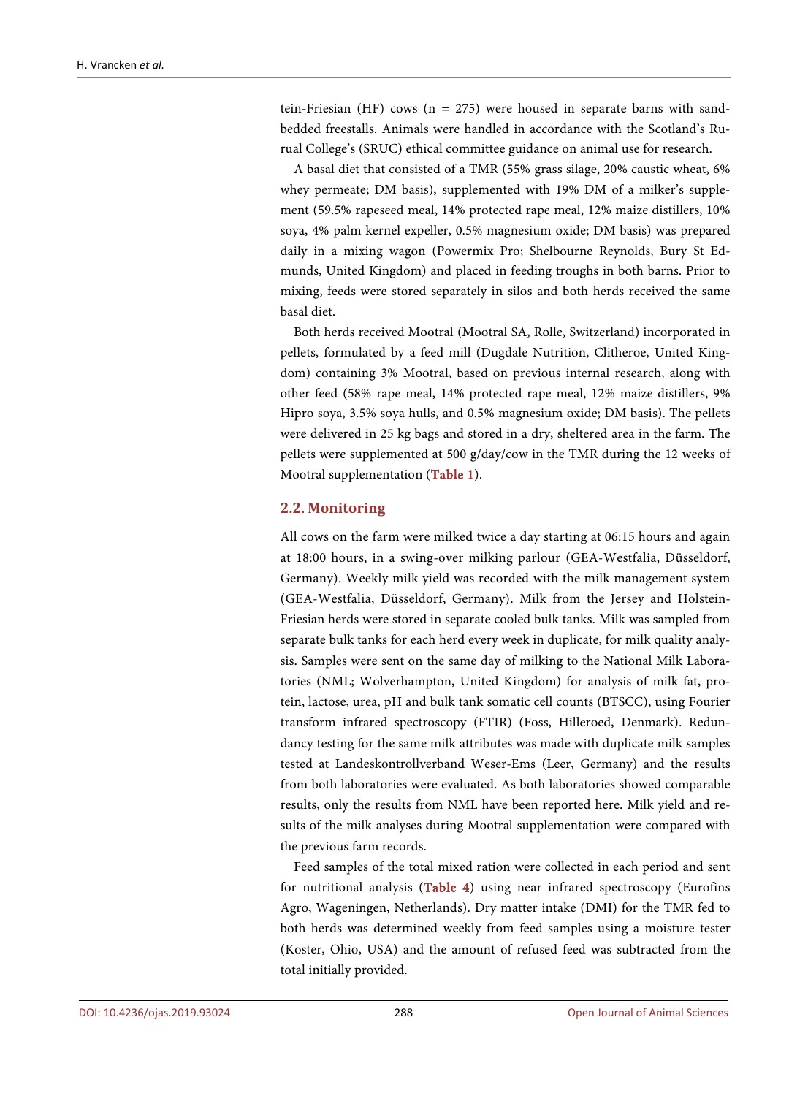tein-Friesian (HF) cows (n = 275) were housed in separate barns with sandbedded freestalls. Animals were handled in accordance with the Scotland's Rurual College's (SRUC) ethical committee guidance on animal use for research.

A basal diet that consisted of a TMR (55% grass silage, 20% caustic wheat, 6% whey permeate; DM basis), supplemented with 19% DM of a milker's supplement (59.5% rapeseed meal, 14% protected rape meal, 12% maize distillers, 10% soya, 4% palm kernel expeller, 0.5% magnesium oxide; DM basis) was prepared daily in a mixing wagon (Powermix Pro; Shelbourne Reynolds, Bury St Edmunds, United Kingdom) and placed in feeding troughs in both barns. Prior to mixing, feeds were stored separately in silos and both herds received the same basal diet.

Both herds received Mootral (Mootral SA, Rolle, Switzerland) incorporated in pellets, formulated by a feed mill (Dugdale Nutrition, Clitheroe, United Kingdom) containing 3% Mootral, based on previous internal research, along with other feed (58% rape meal, 14% protected rape meal, 12% maize distillers, 9% Hipro soya, 3.5% soya hulls, and 0.5% magnesium oxide; DM basis). The pellets were delivered in 25 kg bags and stored in a dry, sheltered area in the farm. The pellets were supplemented at 500 g/day/cow in the TMR during the 12 weeks of Mootral supplementation (Table 1).

#### **2.2. Monitoring**

All cows on the farm were milked twice a day starting at 06:15 hours and again at 18:00 hours, in a swing-over milking parlour (GEA-Westfalia, Düsseldorf, Germany). Weekly milk yield was recorded with the milk management system (GEA-Westfalia, Düsseldorf, Germany). Milk from the Jersey and Holstein-Friesian herds were stored in separate cooled bulk tanks. Milk was sampled from separate bulk tanks for each herd every week in duplicate, for milk quality analysis. Samples were sent on the same day of milking to the National Milk Laboratories (NML; Wolverhampton, United Kingdom) for analysis of milk fat, protein, lactose, urea, pH and bulk tank somatic cell counts (BTSCC), using Fourier transform infrared spectroscopy (FTIR) (Foss, Hilleroed, Denmark). Redundancy testing for the same milk attributes was made with duplicate milk samples tested at Landeskontrollverband Weser-Ems (Leer, Germany) and the results from both laboratories were evaluated. As both laboratories showed comparable results, only the results from NML have been reported here. Milk yield and results of the milk analyses during Mootral supplementation were compared with the previous farm records.

Feed samples of the total mixed ration were collected in each period and sent for nutritional analysis (Table 4) using near infrared spectroscopy (Eurofins Agro, Wageningen, Netherlands). Dry matter intake (DMI) for the TMR fed to both herds was determined weekly from feed samples using a moisture tester (Koster, Ohio, USA) and the amount of refused feed was subtracted from the total initially provided.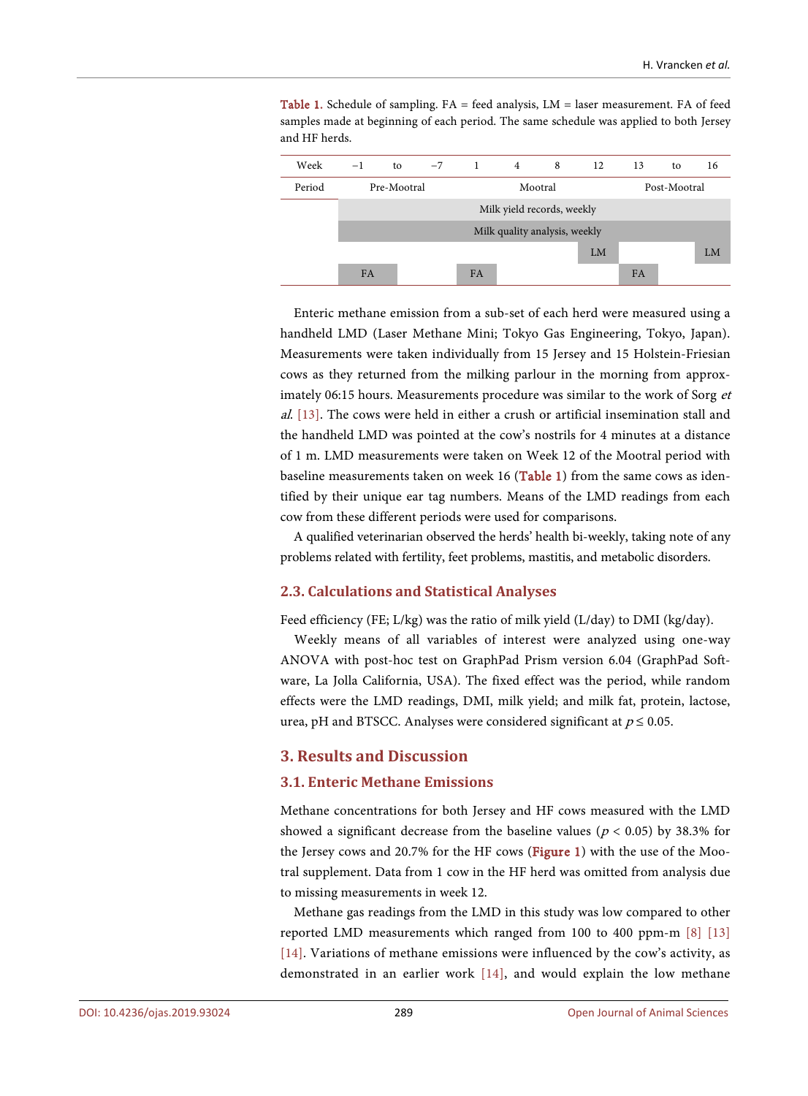Table 1. Schedule of sampling. FA = feed analysis, LM = laser measurement. FA of feed samples made at beginning of each period. The same schedule was applied to both Jersey and HF herds.



Enteric methane emission from a sub-set of each herd were measured using a handheld LMD (Laser Methane Mini; Tokyo Gas Engineering, Tokyo, Japan). Measurements were taken individually from 15 Jersey and 15 Holstein-Friesian cows as they returned from the milking parlour in the morning from approximately 06:15 hours. Measurements procedure was similar to the work of Sorg et al. [13]. The cows were held in either a crush or artificial insemination stall and the handheld LMD was pointed at the cow's nostrils for 4 minutes at a distance of 1 m. LMD measurements were taken on Week 12 of the Mootral period with baseline measurements taken on week 16 (Table 1) from the same cows as identified by their unique ear tag numbers. Means of the LMD readings from each cow from these different periods were used for comparisons.

A qualified veterinarian observed the herds' health bi-weekly, taking note of any problems related with fertility, feet problems, mastitis, and metabolic disorders.

#### **2.3. Calculations and Statistical Analyses**

Feed efficiency (FE; L/kg) was the ratio of milk yield (L/day) to DMI (kg/day).

Weekly means of all variables of interest were analyzed using one-way ANOVA with post-hoc test on GraphPad Prism version 6.04 (GraphPad Software, La Jolla California, USA). The fixed effect was the period, while random effects were the LMD readings, DMI, milk yield; and milk fat, protein, lactose, urea, pH and BTSCC. Analyses were considered significant at  $p \le 0.05$ .

#### **3. Results and Discussion**

#### **3.1. Enteric Methane Emissions**

Methane concentrations for both Jersey and HF cows measured with the LMD showed a significant decrease from the baseline values ( $p < 0.05$ ) by 38.3% for the Jersey cows and 20.7% for the HF cows (Figure 1) with the use of the Mootral supplement. Data from 1 cow in the HF herd was omitted from analysis due to missing measurements in week 12.

Methane gas readings from the LMD in this study was low compared to other reported LMD measurements which ranged from 100 to 400 ppm-m [8] [13] [14]. Variations of methane emissions were influenced by the cow's activity, as demonstrated in an earlier work [14], and would explain the low methane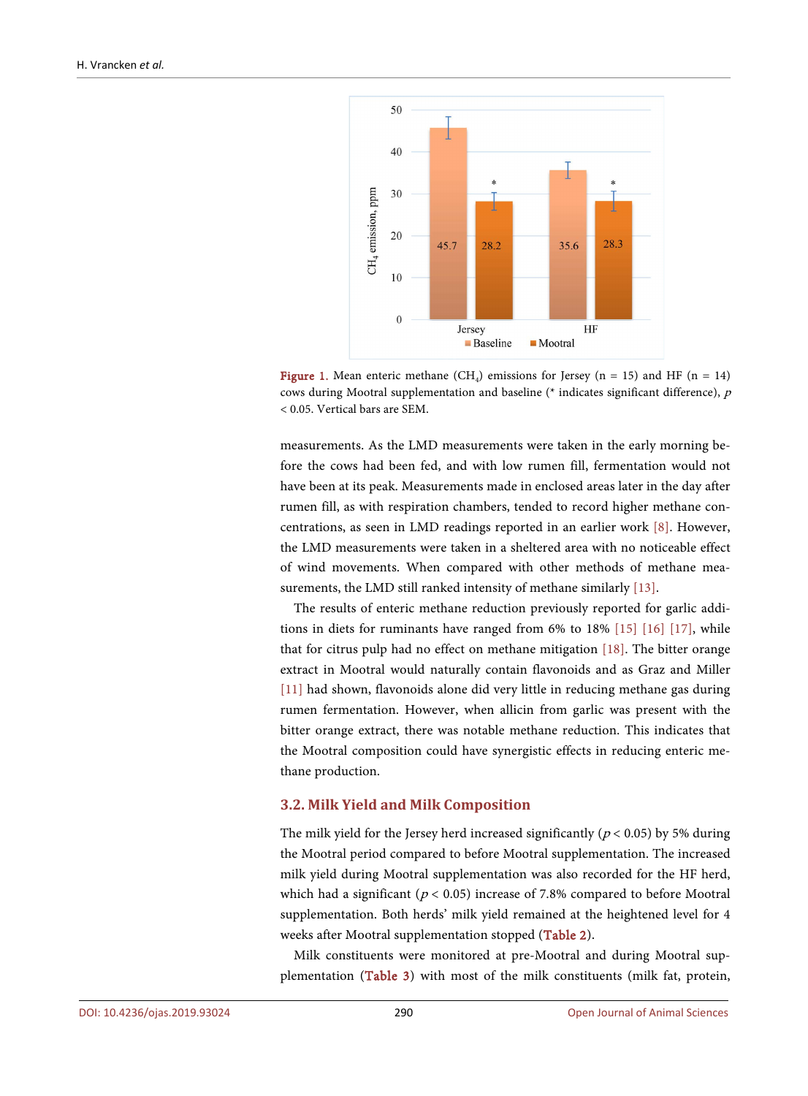

**Figure 1.** Mean enteric methane (CH<sub>4</sub>) emissions for Jersey (n = 15) and HF (n = 14) cows during Mootral supplementation and baseline (\* indicates significant difference), p < 0.05. Vertical bars are SEM.

measurements. As the LMD measurements were taken in the early morning before the cows had been fed, and with low rumen fill, fermentation would not have been at its peak. Measurements made in enclosed areas later in the day after rumen fill, as with respiration chambers, tended to record higher methane concentrations, as seen in LMD readings reported in an earlier work [8]. However, the LMD measurements were taken in a sheltered area with no noticeable effect of wind movements. When compared with other methods of methane measurements, the LMD still ranked intensity of methane similarly [13].

The results of enteric methane reduction previously reported for garlic additions in diets for ruminants have ranged from 6% to 18% [15] [16] [17], while that for citrus pulp had no effect on methane mitigation [18]. The bitter orange extract in Mootral would naturally contain flavonoids and as Graz and Miller [11] had shown, flavonoids alone did very little in reducing methane gas during rumen fermentation. However, when allicin from garlic was present with the bitter orange extract, there was notable methane reduction. This indicates that the Mootral composition could have synergistic effects in reducing enteric methane production.

#### **3.2. Milk Yield and Milk Composition**

The milk yield for the Jersey herd increased significantly ( $p < 0.05$ ) by 5% during the Mootral period compared to before Mootral supplementation. The increased milk yield during Mootral supplementation was also recorded for the HF herd, which had a significant ( $p < 0.05$ ) increase of 7.8% compared to before Mootral supplementation. Both herds' milk yield remained at the heightened level for 4 weeks after Mootral supplementation stopped (Table 2).

Milk constituents were monitored at pre-Mootral and during Mootral supplementation (Table 3) with most of the milk constituents (milk fat, protein,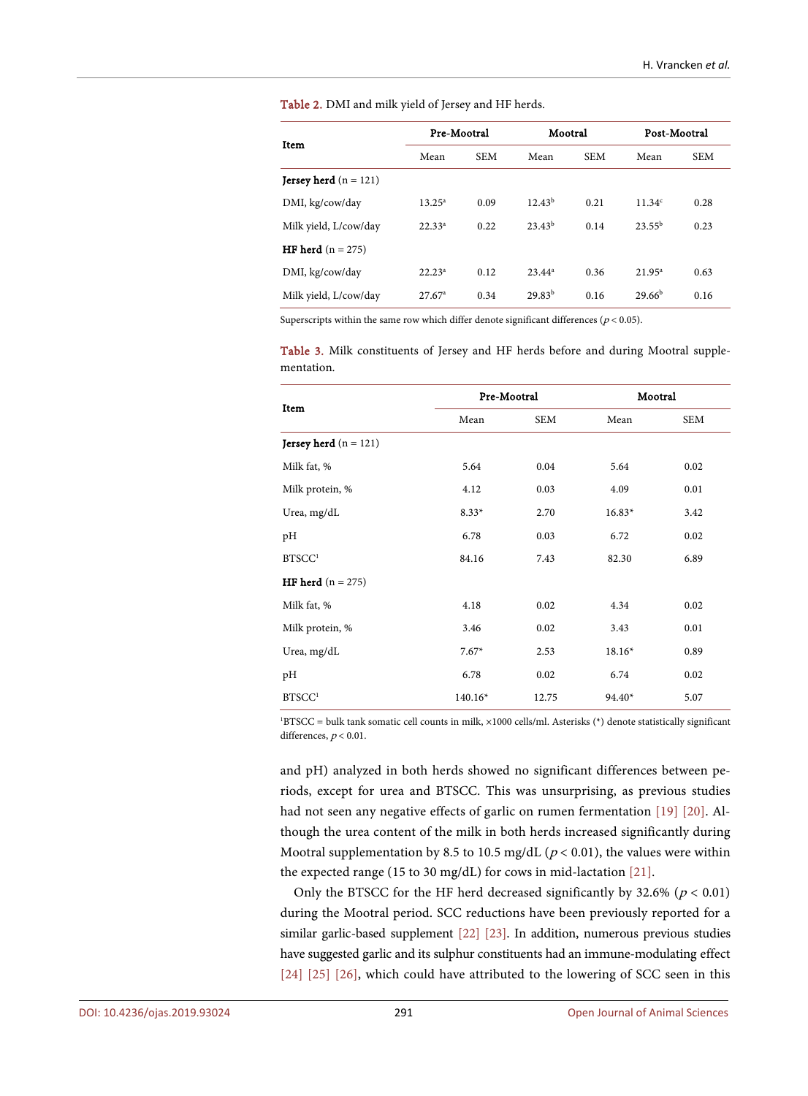Table 2. DMI and milk yield of Jersey and HF herds.

| Item                           | Pre-Mootral     |            | Mootral     |            | Post-Mootral       |            |
|--------------------------------|-----------------|------------|-------------|------------|--------------------|------------|
|                                | Mean            | <b>SEM</b> | Mean        | <b>SEM</b> | Mean               | <b>SEM</b> |
| <b>Jersey herd</b> $(n = 121)$ |                 |            |             |            |                    |            |
| DMI, kg/cow/day                | $13.25^a$       | 0.09       | $12.43^{b}$ | 0.21       | 11.34 <sup>c</sup> | 0.28       |
| Milk yield, L/cow/day          | $22.33^{a}$     | 0.22       | $23.43^{b}$ | 0.14       | $23.55^{b}$        | 0.23       |
| <b>HF herd</b> $(n = 275)$     |                 |            |             |            |                    |            |
| DMI, kg/cow/day                | $22.23^a$       | 0.12       | $23.44^a$   | 0.36       | $21.95^a$          | 0.63       |
| Milk yield, L/cow/day          | $27.67^{\circ}$ | 0.34       | $29.83^{b}$ | 0.16       | $29.66^{b}$        | 0.16       |

Superscripts within the same row which differ denote significant differences ( $p < 0.05$ ).

Table 3. Milk constituents of Jersey and HF herds before and during Mootral supplementation.

| Item                           | Pre-Mootral |            | Mootral  |      |  |
|--------------------------------|-------------|------------|----------|------|--|
|                                | Mean        | <b>SEM</b> | Mean     | SEM  |  |
| <b>Jersey herd</b> $(n = 121)$ |             |            |          |      |  |
| Milk fat, %                    | 5.64        | 0.04       | 5.64     | 0.02 |  |
| Milk protein, %                | 4.12        | 0.03       | 4.09     | 0.01 |  |
| Urea, mg/dL                    | $8.33*$     | 2.70       | $16.83*$ | 3.42 |  |
| pH                             | 6.78        | 0.03       | 6.72     | 0.02 |  |
| BTSCC <sup>1</sup>             | 84.16       | 7.43       | 82.30    | 6.89 |  |
| <b>HF herd</b> $(n = 275)$     |             |            |          |      |  |
| Milk fat, %                    | 4.18        | 0.02       | 4.34     | 0.02 |  |
| Milk protein, %                | 3.46        | 0.02       | 3.43     | 0.01 |  |
| Urea, mg/dL                    | $7.67*$     | 2.53       | $18.16*$ | 0.89 |  |
| pН                             | 6.78        | 0.02       | 6.74     | 0.02 |  |
| BTSCC <sup>1</sup>             | $140.16*$   | 12.75      | $94.40*$ | 5.07 |  |

1 BTSCC = bulk tank somatic cell counts in milk, ×1000 cells/ml. Asterisks (\*) denote statistically significant differences,  $p < 0.01$ .

and pH) analyzed in both herds showed no significant differences between periods, except for urea and BTSCC. This was unsurprising, as previous studies had not seen any negative effects of garlic on rumen fermentation [19] [20]. Although the urea content of the milk in both herds increased significantly during Mootral supplementation by 8.5 to 10.5 mg/dL ( $p < 0.01$ ), the values were within the expected range (15 to 30 mg/dL) for cows in mid-lactation [21].

Only the BTSCC for the HF herd decreased significantly by 32.6% ( $p < 0.01$ ) during the Mootral period. SCC reductions have been previously reported for a similar garlic-based supplement [22] [23]. In addition, numerous previous studies have suggested garlic and its sulphur constituents had an immune-modulating effect [24] [25] [26], which could have attributed to the lowering of SCC seen in this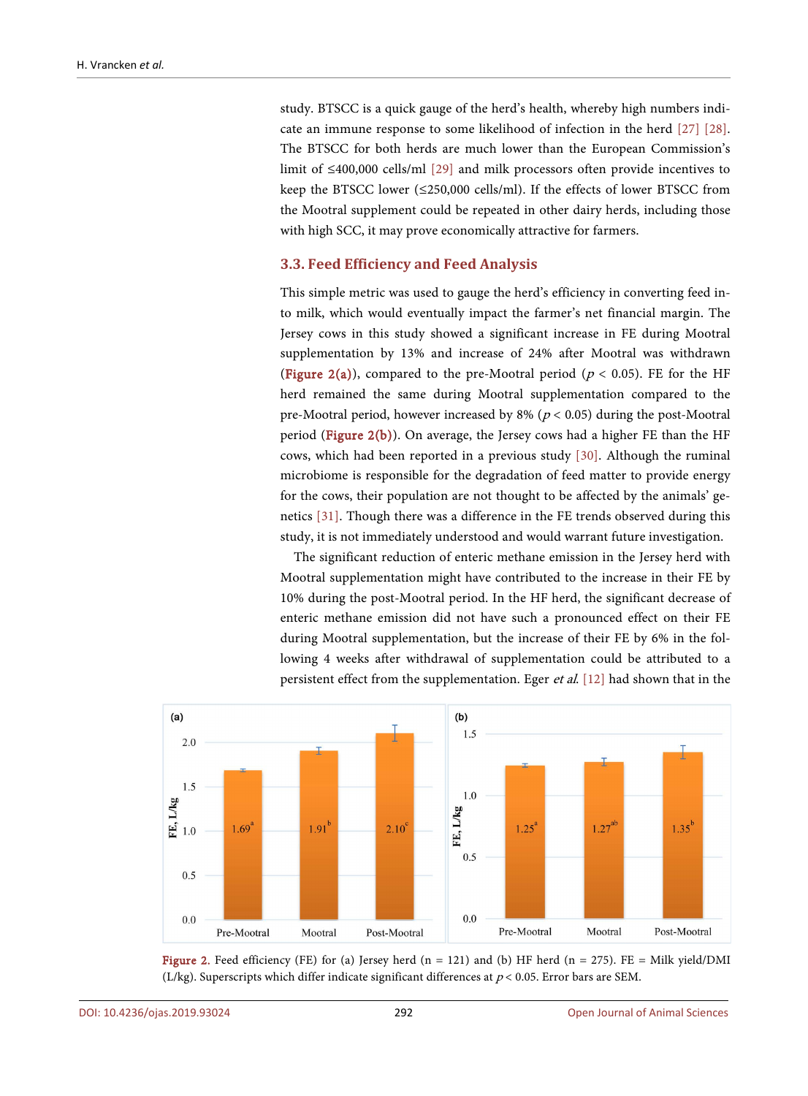study. BTSCC is a quick gauge of the herd's health, whereby high numbers indicate an immune response to some likelihood of infection in the herd [27] [28]. The BTSCC for both herds are much lower than the European Commission's limit of ≤400,000 cells/ml [29] and milk processors often provide incentives to keep the BTSCC lower (≤250,000 cells/ml). If the effects of lower BTSCC from the Mootral supplement could be repeated in other dairy herds, including those with high SCC, it may prove economically attractive for farmers.

#### **3.3. Feed Efficiency and Feed Analysis**

This simple metric was used to gauge the herd's efficiency in converting feed into milk, which would eventually impact the farmer's net financial margin. The Jersey cows in this study showed a significant increase in FE during Mootral supplementation by 13% and increase of 24% after Mootral was withdrawn (Figure 2(a)), compared to the pre-Mootral period ( $p < 0.05$ ). FE for the HF herd remained the same during Mootral supplementation compared to the pre-Mootral period, however increased by 8% ( $p < 0.05$ ) during the post-Mootral period (Figure  $2(b)$ ). On average, the Jersey cows had a higher FE than the HF cows, which had been reported in a previous study [30]. Although the ruminal microbiome is responsible for the degradation of feed matter to provide energy for the cows, their population are not thought to be affected by the animals' genetics [31]. Though there was a difference in the FE trends observed during this study, it is not immediately understood and would warrant future investigation.

The significant reduction of enteric methane emission in the Jersey herd with Mootral supplementation might have contributed to the increase in their FE by 10% during the post-Mootral period. In the HF herd, the significant decrease of enteric methane emission did not have such a pronounced effect on their FE during Mootral supplementation, but the increase of their FE by 6% in the following 4 weeks after withdrawal of supplementation could be attributed to a persistent effect from the supplementation. Eger *et al.* [12] had shown that in the



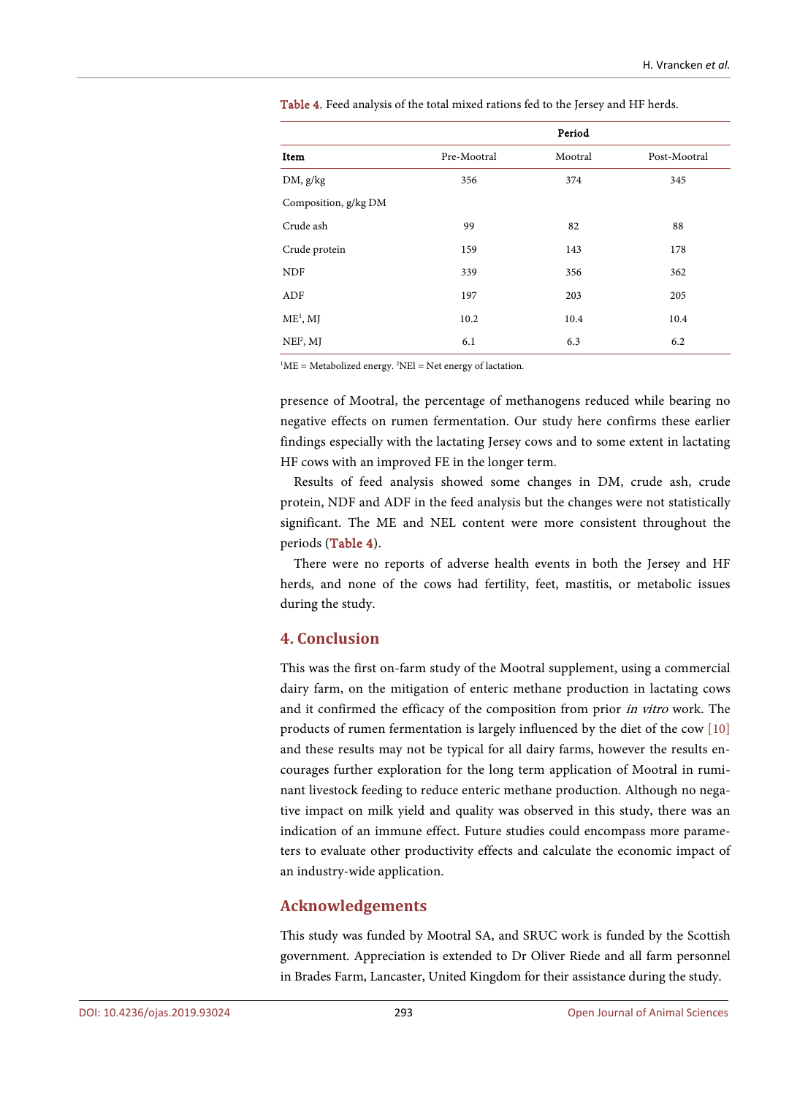|                      | Period      |         |              |  |  |  |
|----------------------|-------------|---------|--------------|--|--|--|
| Item                 | Pre-Mootral | Mootral | Post-Mootral |  |  |  |
| DM, g/kg             | 356         | 374     | 345          |  |  |  |
| Composition, g/kg DM |             |         |              |  |  |  |
| Crude ash            | 99          | 82      | 88           |  |  |  |
| Crude protein        | 159         | 143     | 178          |  |  |  |
| <b>NDF</b>           | 339         | 356     | 362          |  |  |  |
| ADF                  | 197         | 203     | 205          |  |  |  |
| $ME1$ , MJ           | 10.2        | 10.4    | 10.4         |  |  |  |
| $NEl2$ , MJ          | 6.1         | 6.3     | 6.2          |  |  |  |

Table 4. Feed analysis of the total mixed rations fed to the Jersey and HF herds.

 ${}^{1}$ ME = Metabolized energy.  ${}^{2}$ NEl = Net energy of lactation.

presence of Mootral, the percentage of methanogens reduced while bearing no negative effects on rumen fermentation. Our study here confirms these earlier findings especially with the lactating Jersey cows and to some extent in lactating HF cows with an improved FE in the longer term.

Results of feed analysis showed some changes in DM, crude ash, crude protein, NDF and ADF in the feed analysis but the changes were not statistically significant. The ME and NEL content were more consistent throughout the periods (Table 4).

There were no reports of adverse health events in both the Jersey and HF herds, and none of the cows had fertility, feet, mastitis, or metabolic issues during the study.

#### **4. Conclusion**

This was the first on-farm study of the Mootral supplement, using a commercial dairy farm, on the mitigation of enteric methane production in lactating cows and it confirmed the efficacy of the composition from prior in vitro work. The products of rumen fermentation is largely influenced by the diet of the cow [10] and these results may not be typical for all dairy farms, however the results encourages further exploration for the long term application of Mootral in ruminant livestock feeding to reduce enteric methane production. Although no negative impact on milk yield and quality was observed in this study, there was an indication of an immune effect. Future studies could encompass more parameters to evaluate other productivity effects and calculate the economic impact of an industry-wide application.

### **Acknowledgements**

This study was funded by Mootral SA, and SRUC work is funded by the Scottish government. Appreciation is extended to Dr Oliver Riede and all farm personnel in Brades Farm, Lancaster, United Kingdom for their assistance during the study.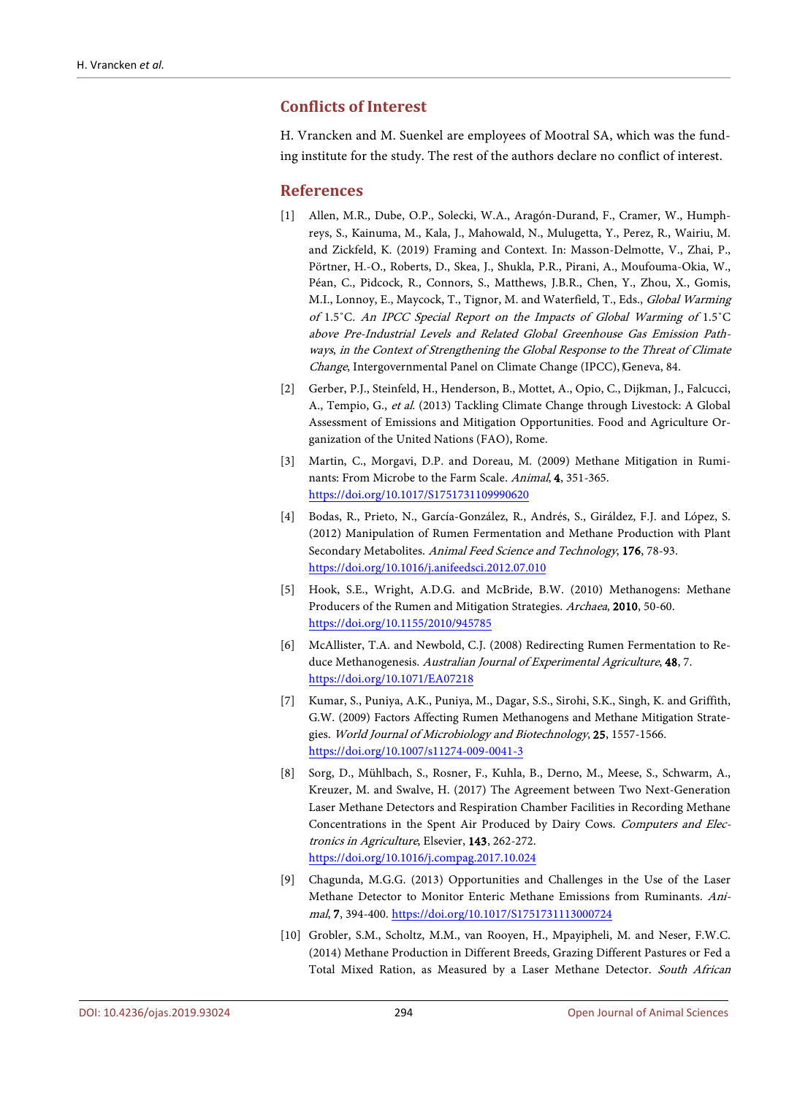#### **Conflicts of Interest**

H. Vrancken and M. Suenkel are employees of Mootral SA, which was the funding institute for the study. The rest of the authors declare no conflict of interest.

#### **References**

- [1] Allen, M.R., Dube, O.P., Solecki, W.A., Aragón-Durand, F., Cramer, W., Humphreys, S., Kainuma, M., Kala, J., Mahowald, N., Mulugetta, Y., Perez, R., Wairiu, M. and Zickfeld, K. (2019) Framing and Context. In: Masson-Delmotte, V., Zhai, P., Pörtner, H.-O., Roberts, D., Skea, J., Shukla, P.R., Pirani, A., Moufouma-Okia, W., Péan, C., Pidcock, R., Connors, S., Matthews, J.B.R., Chen, Y., Zhou, X., Gomis, M.I., Lonnoy, E., Maycock, T., Tignor, M. and Waterfield, T., Eds., Global Warming of 1.5˚C. An IPCC Special Report on the Impacts of Global Warming of 1.5˚C above Pre-Industrial Levels and Related Global Greenhouse Gas Emission Pathways, in the Context of Strengthening the Global Response to the Threat of Climate Change, Intergovernmental Panel on Climate Change (IPCC), Geneva, 84.
- [2] Gerber, P.J., Steinfeld, H., Henderson, B., Mottet, A., Opio, C., Dijkman, J., Falcucci, A., Tempio, G., et al. (2013) Tackling Climate Change through Livestock: A Global Assessment of Emissions and Mitigation Opportunities. Food and Agriculture Organization of the United Nations (FAO), Rome.
- [3] Martin, C., Morgavi, D.P. and Doreau, M. (2009) Methane Mitigation in Ruminants: From Microbe to the Farm Scale. Animal, 4, 351-365. https://doi.org/10.1017/S1751731109990620
- [4] Bodas, R., Prieto, N., García-González, R., Andrés, S., Giráldez, F.J. and López, S. (2012) Manipulation of Rumen Fermentation and Methane Production with Plant Secondary Metabolites. Animal Feed Science and Technology, 176, 78-93. https://doi.org/10.1016/j.anifeedsci.2012.07.010
- [5] Hook, S.E., Wright, A.D.G. and McBride, B.W. (2010) Methanogens: Methane Producers of the Rumen and Mitigation Strategies. Archaea, 2010, 50-60. https://doi.org/10.1155/2010/945785
- [6] McAllister, T.A. and Newbold, C.J. (2008) Redirecting Rumen Fermentation to Reduce Methanogenesis. Australian Journal of Experimental Agriculture, 48, 7. https://doi.org/10.1071/EA07218
- [7] Kumar, S., Puniya, A.K., Puniya, M., Dagar, S.S., Sirohi, S.K., Singh, K. and Griffith, G.W. (2009) Factors Affecting Rumen Methanogens and Methane Mitigation Strategies. World Journal of Microbiology and Biotechnology, 25, 1557-1566. https://doi.org/10.1007/s11274-009-0041-3
- [8] Sorg, D., Mühlbach, S., Rosner, F., Kuhla, B., Derno, M., Meese, S., Schwarm, A., Kreuzer, M. and Swalve, H. (2017) The Agreement between Two Next-Generation Laser Methane Detectors and Respiration Chamber Facilities in Recording Methane Concentrations in the Spent Air Produced by Dairy Cows. Computers and Electronics in Agriculture, Elsevier, 143, 262-272. https://doi.org/10.1016/j.compag.2017.10.024
- [9] Chagunda, M.G.G. (2013) Opportunities and Challenges in the Use of the Laser Methane Detector to Monitor Enteric Methane Emissions from Ruminants. Animal, 7, 394-400. https://doi.org/10.1017/S1751731113000724
- [10] Grobler, S.M., Scholtz, M.M., van Rooyen, H., Mpayipheli, M. and Neser, F.W.C. (2014) Methane Production in Different Breeds, Grazing Different Pastures or Fed a Total Mixed Ration, as Measured by a Laser Methane Detector. South African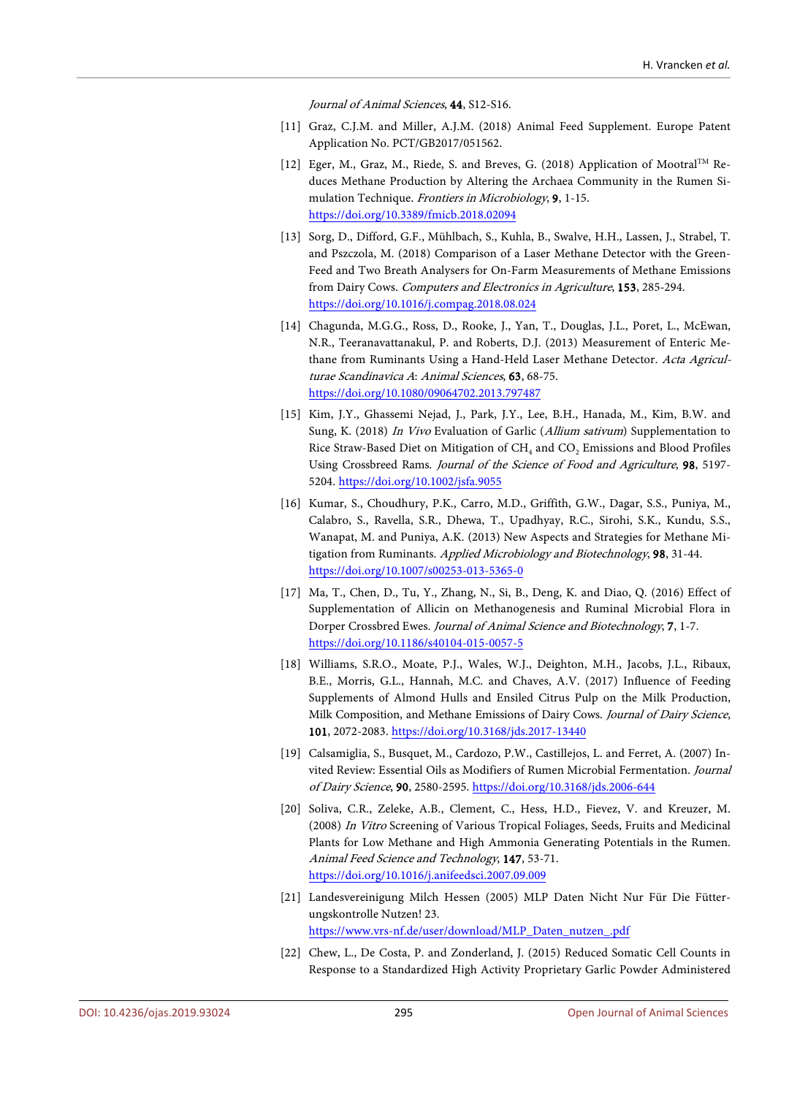Journal of Animal Sciences, 44, S12-S16.

- [11] Graz, C.J.M. and Miller, A.J.M. (2018) Animal Feed Supplement. Europe Patent Application No. PCT/GB2017/051562.
- [12] Eger, M., Graz, M., Riede, S. and Breves, G. (2018) Application of Mootral<sup>TM</sup> Reduces Methane Production by Altering the Archaea Community in the Rumen Simulation Technique. Frontiers in Microbiology, 9, 1-15. https://doi.org/10.3389/fmicb.2018.02094
- [13] Sorg, D., Difford, G.F., Mühlbach, S., Kuhla, B., Swalve, H.H., Lassen, J., Strabel, T. and Pszczola, M. (2018) Comparison of a Laser Methane Detector with the Green-Feed and Two Breath Analysers for On-Farm Measurements of Methane Emissions from Dairy Cows. Computers and Electronics in Agriculture, 153, 285-294. https://doi.org/10.1016/j.compag.2018.08.024
- [14] Chagunda, M.G.G., Ross, D., Rooke, J., Yan, T., Douglas, J.L., Poret, L., McEwan, N.R., Teeranavattanakul, P. and Roberts, D.J. (2013) Measurement of Enteric Methane from Ruminants Using a Hand-Held Laser Methane Detector. Acta Agriculturae Scandinavica A: Animal Sciences, 63, 68-75. https://doi.org/10.1080/09064702.2013.797487
- [15] Kim, J.Y., Ghassemi Nejad, J., Park, J.Y., Lee, B.H., Hanada, M., Kim, B.W. and Sung, K. (2018) In Vivo Evaluation of Garlic (Allium sativum) Supplementation to Rice Straw-Based Diet on Mitigation of  $CH<sub>4</sub>$  and  $CO<sub>2</sub>$  Emissions and Blood Profiles Using Crossbreed Rams. Journal of the Science of Food and Agriculture, 98, 5197- 5204. https://doi.org/10.1002/jsfa.9055
- [16] Kumar, S., Choudhury, P.K., Carro, M.D., Griffith, G.W., Dagar, S.S., Puniya, M., Calabro, S., Ravella, S.R., Dhewa, T., Upadhyay, R.C., Sirohi, S.K., Kundu, S.S., Wanapat, M. and Puniya, A.K. (2013) New Aspects and Strategies for Methane Mitigation from Ruminants. Applied Microbiology and Biotechnology, 98, 31-44. https://doi.org/10.1007/s00253-013-5365-0
- [17] Ma, T., Chen, D., Tu, Y., Zhang, N., Si, B., Deng, K. and Diao, Q. (2016) Effect of Supplementation of Allicin on Methanogenesis and Ruminal Microbial Flora in Dorper Crossbred Ewes. Journal of Animal Science and Biotechnology, 7, 1-7. https://doi.org/10.1186/s40104-015-0057-5
- [18] Williams, S.R.O., Moate, P.J., Wales, W.J., Deighton, M.H., Jacobs, J.L., Ribaux, B.E., Morris, G.L., Hannah, M.C. and Chaves, A.V. (2017) Influence of Feeding Supplements of Almond Hulls and Ensiled Citrus Pulp on the Milk Production, Milk Composition, and Methane Emissions of Dairy Cows. Journal of Dairy Science, 101, 2072-2083. https://doi.org/10.3168/jds.2017-13440
- [19] Calsamiglia, S., Busquet, M., Cardozo, P.W., Castillejos, L. and Ferret, A. (2007) Invited Review: Essential Oils as Modifiers of Rumen Microbial Fermentation. Journal of Dairy Science, 90, 2580-2595. https://doi.org/10.3168/jds.2006-644
- [20] Soliva, C.R., Zeleke, A.B., Clement, C., Hess, H.D., Fievez, V. and Kreuzer, M. (2008) In Vitro Screening of Various Tropical Foliages, Seeds, Fruits and Medicinal Plants for Low Methane and High Ammonia Generating Potentials in the Rumen. Animal Feed Science and Technology, 147, 53-71. https://doi.org/10.1016/j.anifeedsci.2007.09.009
- [21] Landesvereinigung Milch Hessen (2005) MLP Daten Nicht Nur Für Die Fütterungskontrolle Nutzen! 23. https://www.vrs-nf.de/user/download/MLP\_Daten\_nutzen\_.pdf
- [22] Chew, L., De Costa, P. and Zonderland, J. (2015) Reduced Somatic Cell Counts in Response to a Standardized High Activity Proprietary Garlic Powder Administered